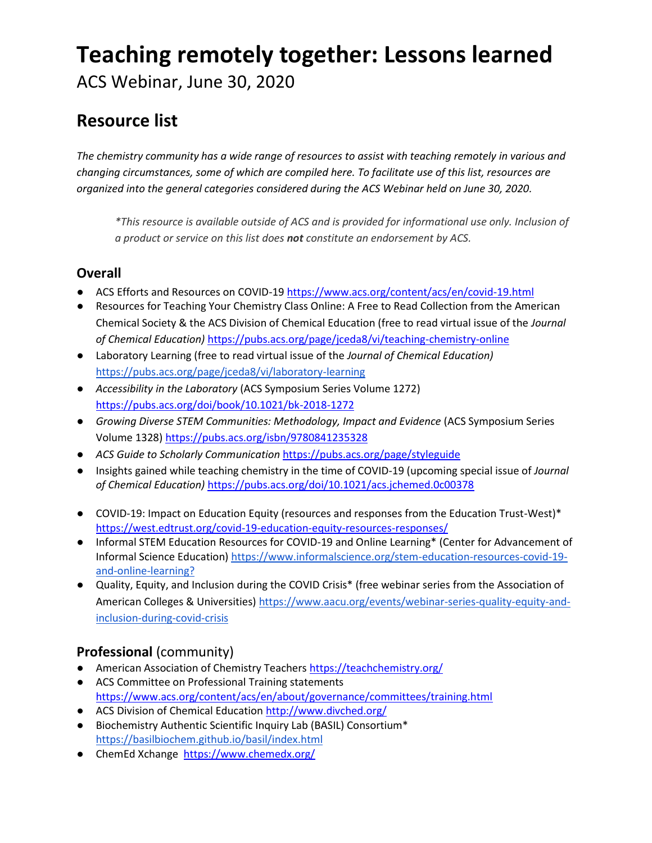# **Teaching remotely together: Lessons learned**

ACS Webinar, June 30, 2020

# **Resource list**

*The chemistry community has a wide range of resources to assist with teaching remotely in various and changing circumstances, some of which are compiled here. To facilitate use of this list, resources are organized into the general categories considered during the ACS Webinar held on June 30, 2020.* 

*\*This resource is available outside of ACS and is provided for informational use only. Inclusion of a product or service on this list does not constitute an endorsement by ACS.*

#### **Overall**

- ACS Efforts and Resources on COVID-1[9 https://www.acs.org/content/acs/en/covid-19.html](https://www.acs.org/content/acs/en/covid-19.html)
- Resources for Teaching Your Chemistry Class Online: A Free to Read Collection from the American Chemical Society & the ACS Division of Chemical Education (free to read virtual issue of the *Journal of Chemical Education)* <https://pubs.acs.org/page/jceda8/vi/teaching-chemistry-online>
- Laboratory Learning (free to read virtual issue of the *Journal of Chemical Education)* <https://pubs.acs.org/page/jceda8/vi/laboratory-learning>
- *Accessibility in the Laboratory* (ACS Symposium Series Volume 1272) <https://pubs.acs.org/doi/book/10.1021/bk-2018-1272>
- *Growing Diverse STEM Communities: Methodology, Impact and Evidence* (ACS Symposium Series Volume 1328) <https://pubs.acs.org/isbn/9780841235328>
- *ACS Guide to Scholarly Communication* <https://pubs.acs.org/page/styleguide>
- Insights gained while teaching chemistry in the time of COVID-19 (upcoming special issue of *Journal of Chemical Education)* <https://pubs.acs.org/doi/10.1021/acs.jchemed.0c00378>
- COVID-19: Impact on Education Equity (resources and responses from the Education Trust-West)\* <https://west.edtrust.org/covid-19-education-equity-resources-responses/>
- Informal STEM Education Resources for COVID-19 and Online Learning\* (Center for Advancement of Informal Science Education) [https://www.informalscience.org/stem-education-resources-covid-19](https://www.informalscience.org/stem-education-resources-covid-19-and-online-learning?) [and-online-learning?](https://www.informalscience.org/stem-education-resources-covid-19-and-online-learning?)
- Quality, Equity, and Inclusion during the COVID Crisis\* (free webinar series from the Association of American Colleges & Universities) [https://www.aacu.org/events/webinar-series-quality-equity-and](https://www.aacu.org/events/webinar-series-quality-equity-and-inclusion-during-covid-crisis)[inclusion-during-covid-crisis](https://www.aacu.org/events/webinar-series-quality-equity-and-inclusion-during-covid-crisis)

## **Professional** (community)

- American Association of Chemistry Teacher[s https://teachchemistry.org/](https://teachchemistry.org/)
- ACS Committee on Professional Training statements <https://www.acs.org/content/acs/en/about/governance/committees/training.html>
- ACS Division of Chemical Educatio[n http://www.divched.org/](http://www.divched.org/)
- Biochemistry Authentic Scientific Inquiry Lab (BASIL) Consortium\* <https://basilbiochem.github.io/basil/index.html>
- ChemEd Xchange <https://www.chemedx.org/>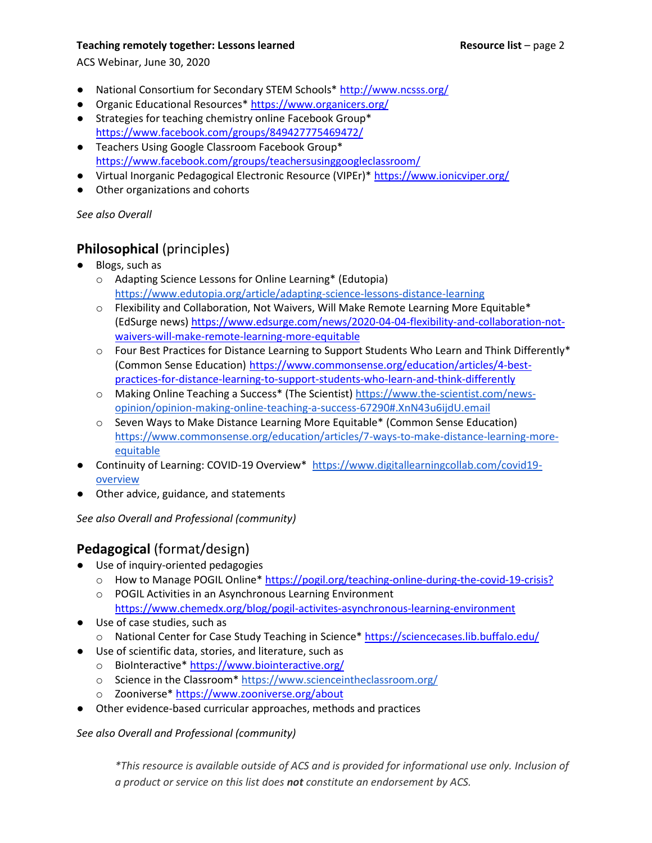#### **Teaching remotely together: Lessons learned <b>Resource list** – page 2

ACS Webinar, June 30, 2020

- National Consortium for Secondary STEM Schools\*<http://www.ncsss.org/>
- Organic Educational Resources\* <https://www.organicers.org/>
- Strategies for teaching chemistry online Facebook Group\* <https://www.facebook.com/groups/849427775469472/>
- Teachers Using Google Classroom Facebook Group\* <https://www.facebook.com/groups/teachersusinggoogleclassroom/>
- Virtual Inorganic Pedagogical Electronic Resource (VIPEr)<sup>\*</sup><https://www.ionicviper.org/>
- Other organizations and cohorts

*See also Overall*

### **Philosophical** (principles)

- Blogs, such as
	- o Adapting Science Lessons for Online Learning\* (Edutopia) <https://www.edutopia.org/article/adapting-science-lessons-distance-learning>
	- $\circ$  Flexibility and Collaboration, Not Waivers, Will Make Remote Learning More Equitable\* (EdSurge news[\) https://www.edsurge.com/news/2020-04-04-flexibility-and-collaboration-not](https://www.edsurge.com/news/2020-04-04-flexibility-and-collaboration-not-waivers-will-make-remote-learning-more-equitable)[waivers-will-make-remote-learning-more-equitable](https://www.edsurge.com/news/2020-04-04-flexibility-and-collaboration-not-waivers-will-make-remote-learning-more-equitable)
	- $\circ$  Four Best Practices for Distance Learning to Support Students Who Learn and Think Differently\* (Common Sense Education) [https://www.commonsense.org/education/articles/4-best](https://www.commonsense.org/education/articles/4-best-practices-for-distance-learning-to-support-students-who-learn-and-think-differently)[practices-for-distance-learning-to-support-students-who-learn-and-think-differently](https://www.commonsense.org/education/articles/4-best-practices-for-distance-learning-to-support-students-who-learn-and-think-differently)
	- o Making Online Teaching a Success\* (The Scientist) [https://www.the-scientist.com/news](https://www.the-scientist.com/news-opinion/opinion-making-online-teaching-a-success-67290#.XnN43u6ijdU.email)[opinion/opinion-making-online-teaching-a-success-67290#.XnN43u6ijdU.email](https://www.the-scientist.com/news-opinion/opinion-making-online-teaching-a-success-67290#.XnN43u6ijdU.email)
	- o Seven Ways to Make Distance Learning More Equitable\* (Common Sense Education) [https://www.commonsense.org/education/articles/7-ways-to-make-distance-learning-more](https://www.commonsense.org/education/articles/7-ways-to-make-distance-learning-more-equitable)[equitable](https://www.commonsense.org/education/articles/7-ways-to-make-distance-learning-more-equitable)
- Continuity of Learning: COVID-19 Overview\* [https://www.digitallearningcollab.com/covid19](https://www.digitallearningcollab.com/covid19-overview) [overview](https://www.digitallearningcollab.com/covid19-overview)
- Other advice, guidance, and statements

*See also Overall and Professional (community)*

### **Pedagogical** (format/design)

- Use of inquiry-oriented pedagogies
	- o How to Manage POGIL Online\*<https://pogil.org/teaching-online-during-the-covid-19-crisis?>
	- o POGIL Activities in an Asynchronous Learning Environment <https://www.chemedx.org/blog/pogil-activites-asynchronous-learning-environment>
- Use of case studies, such as
	- o National Center for Case Study Teaching in Science<sup>\*</sup> https://sciencecases.lib.buffalo.edu/
- Use of scientific data, stories, and literature, such as
	- o BioInteractive\*<https://www.biointeractive.org/>
	- o Science in the Classroom\*<https://www.scienceintheclassroom.org/>
	- o Zooniverse\*<https://www.zooniverse.org/about>
- Other evidence-based curricular approaches, methods and practices

*See also Overall and Professional (community)*

*\*This resource is available outside of ACS and is provided for informational use only. Inclusion of a product or service on this list does not constitute an endorsement by ACS.*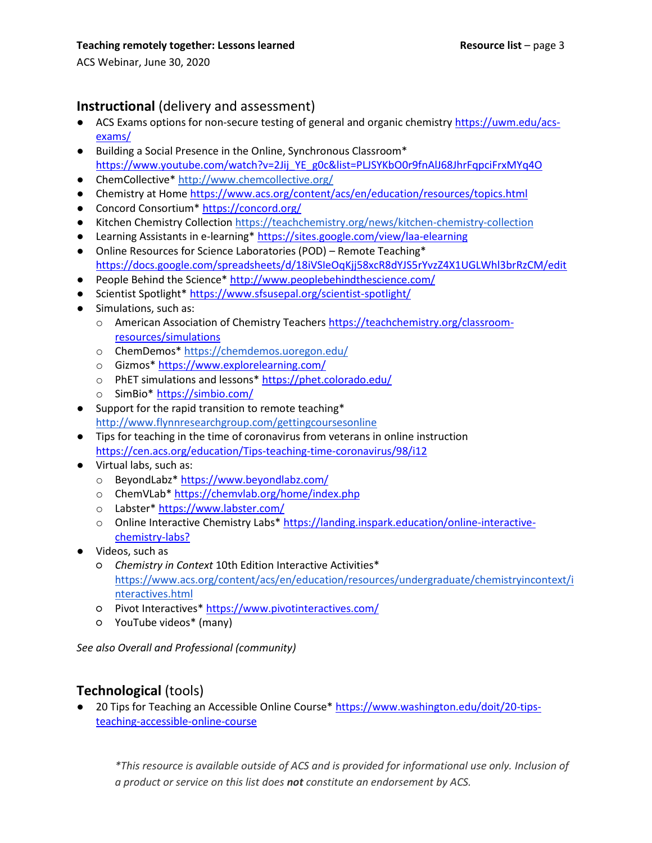ACS Webinar, June 30, 2020

#### **Instructional** (delivery and assessment)

- ACS Exams options for non-secure testing of general and organic chemistry [https://uwm.edu/acs](https://uwm.edu/acs-exams/)[exams/](https://uwm.edu/acs-exams/)
- Building a Social Presence in the Online, Synchronous Classroom\* [https://www.youtube.com/watch?v=2Jij\\_YE\\_g0c&list=PLJSYKbO0r9fnAlJ68JhrFqpciFrxMYq4O](https://www.youtube.com/watch?v=2Jij_YE_g0c&list=PLJSYKbO0r9fnAlJ68JhrFqpciFrxMYq4O)
- ChemCollective\*<http://www.chemcollective.org/>
- Chemistry at Hom[e https://www.acs.org/content/acs/en/education/resources/topics.html](https://www.acs.org/content/acs/en/education/resources/topics.html)
- Concord Consortium\*<https://concord.org/>
- Kitchen Chemistry Collection<https://teachchemistry.org/news/kitchen-chemistry-collection>
- Learning Assistants in e-learning\*<https://sites.google.com/view/laa-elearning>
- Online Resources for Science Laboratories (POD) Remote Teaching\* <https://docs.google.com/spreadsheets/d/18iVSIeOqKjj58xcR8dYJS5rYvzZ4X1UGLWhl3brRzCM/edit>
- People Behind the Science\*<http://www.peoplebehindthescience.com/>
- Scientist Spotlight\*<https://www.sfsusepal.org/scientist-spotlight/>
- Simulations, such as:
	- o American Association of Chemistry Teacher[s https://teachchemistry.org/classroom](https://teachchemistry.org/classroom-resources/simulations)[resources/simulations](https://teachchemistry.org/classroom-resources/simulations)
	- o ChemDemos\*<https://chemdemos.uoregon.edu/>
	- o Gizmos[\\* https://www.explorelearning.com/](https://www.explorelearning.com/)
	- o PhET simulations and lessons\*<https://phet.colorado.edu/>
	- o SimBio\* <https://simbio.com/>
- Support for the rapid transition to remote teaching\* <http://www.flynnresearchgroup.com/gettingcoursesonline>
- Tips for teaching in the time of coronavirus from veterans in online instruction <https://cen.acs.org/education/Tips-teaching-time-coronavirus/98/i12>
- Virtual labs, such as:
	- o BeyondLabz\* <https://www.beyondlabz.com/>
	- o ChemVLab\* <https://chemvlab.org/home/index.php>
	- o Labster\* <https://www.labster.com/>
	- o Online Interactive Chemistry Labs\* [https://landing.inspark.education/online-interactive](https://landing.inspark.education/online-interactive-chemistry-labs?)[chemistry-labs?](https://landing.inspark.education/online-interactive-chemistry-labs?)
- Videos, such as
	- *Chemistry in Context* 10th Edition Interactive Activities\* [https://www.acs.org/content/acs/en/education/resources/undergraduate/chemistryincontext/i](https://www.acs.org/content/acs/en/education/resources/undergraduate/chemistryincontext/interactives.html) [nteractives.html](https://www.acs.org/content/acs/en/education/resources/undergraduate/chemistryincontext/interactives.html)
	- Pivot Interactives\* <https://www.pivotinteractives.com/>
	- YouTube videos\* (many)

*See also Overall and Professional (community)*

### **Technological** (tools)

● 20 Tips for Teaching an Accessible Online Course\* [https://www.washington.edu/doit/20-tips](https://www.washington.edu/doit/20-tips-teaching-accessible-online-course)[teaching-accessible-online-course](https://www.washington.edu/doit/20-tips-teaching-accessible-online-course)

*\*This resource is available outside of ACS and is provided for informational use only. Inclusion of a product or service on this list does not constitute an endorsement by ACS.*